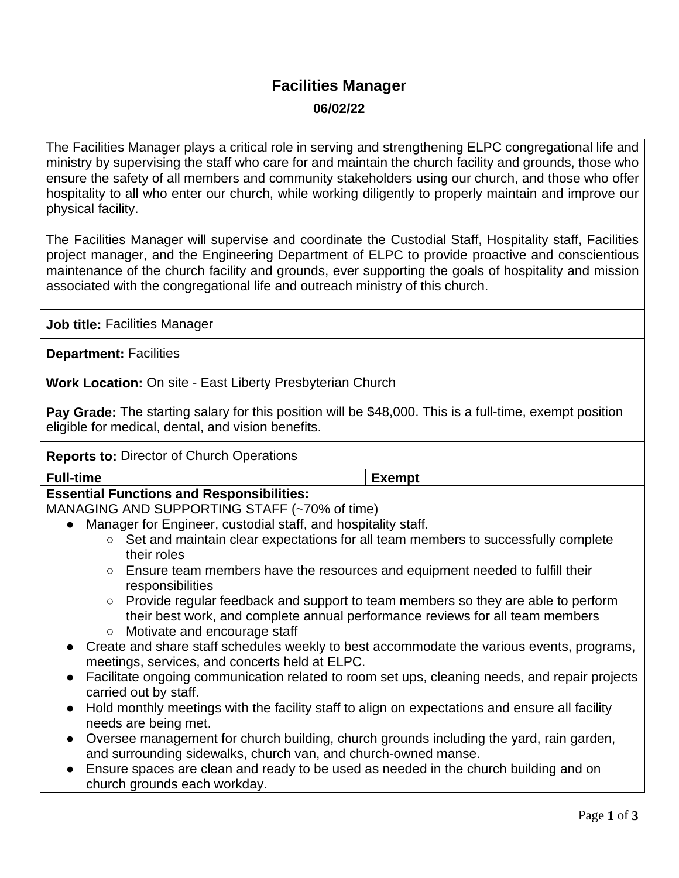# **Facilities Manager 06/02/22**

The Facilities Manager plays a critical role in serving and strengthening ELPC congregational life and ministry by supervising the staff who care for and maintain the church facility and grounds, those who ensure the safety of all members and community stakeholders using our church, and those who offer hospitality to all who enter our church, while working diligently to properly maintain and improve our physical facility.

The Facilities Manager will supervise and coordinate the Custodial Staff, Hospitality staff, Facilities project manager, and the Engineering Department of ELPC to provide proactive and conscientious maintenance of the church facility and grounds, ever supporting the goals of hospitality and mission associated with the congregational life and outreach ministry of this church.

**Job title:** Facilities Manager

**Department:** Facilities

**Work Location:** On site - East Liberty Presbyterian Church

**Pay Grade:** The starting salary for this position will be \$48,000. This is a full-time, exempt position eligible for medical, dental, and vision benefits.

#### **Reports to:** Director of Church Operations

| <b>Full-time</b>                                                                                            | <b>Exempt</b> |
|-------------------------------------------------------------------------------------------------------------|---------------|
| <b>Essential Functions and Responsibilities:</b>                                                            |               |
| MANAGING AND SUPPORTING STAFF (~70% of time)                                                                |               |
| • Manager for Engineer, custodial staff, and hospitality staff.                                             |               |
| Set and maintain clear expectations for all team members to successfully complete<br>$\circ$                |               |
| their roles                                                                                                 |               |
| Ensure team members have the resources and equipment needed to fulfill their<br>$\circ$<br>responsibilities |               |
| Provide regular feedback and support to team members so they are able to perform<br>$\circlearrowright$     |               |
| their best work, and complete annual performance reviews for all team members                               |               |
| Motivate and encourage staff<br>$\circlearrowright$                                                         |               |
| • Create and share staff schedules weekly to best accommodate the various events, programs,                 |               |
| meetings, services, and concerts held at ELPC.                                                              |               |
| Facilitate ongoing communication related to room set ups, cleaning needs, and repair projects               |               |
| carried out by staff.                                                                                       |               |
| Hold monthly meetings with the facility staff to align on expectations and ensure all facility<br>$\bullet$ |               |
| needs are being met.                                                                                        |               |
| • Oversee management for church building, church grounds including the yard, rain garden,                   |               |
| and surrounding sidewalks, church van, and church-owned manse.                                              |               |
| Ensure spaces are clean and ready to be used as needed in the church building and on                        |               |
| church grounds each workday.                                                                                |               |
|                                                                                                             |               |
|                                                                                                             | Page 1 of $3$ |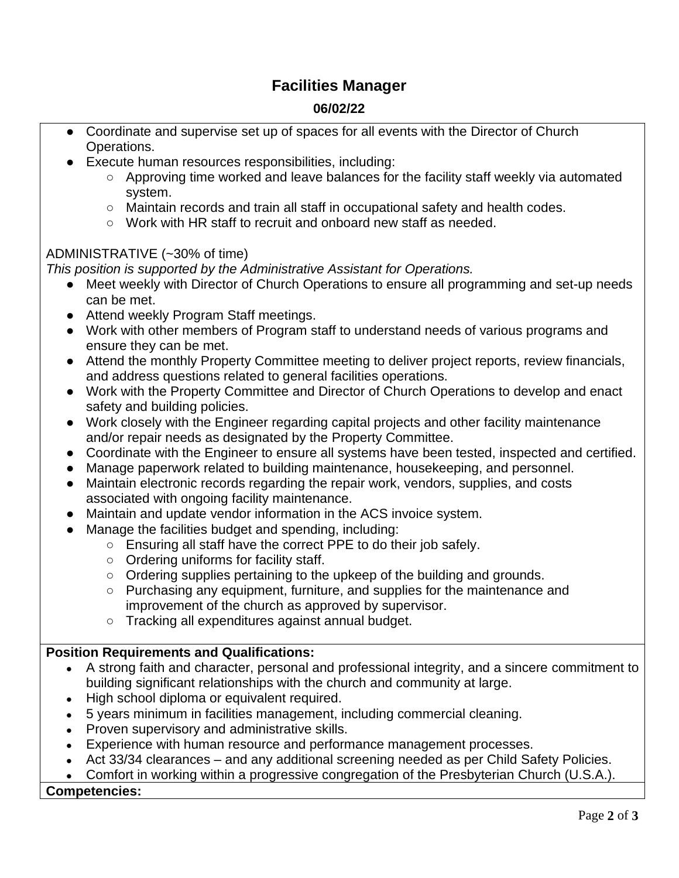## **Facilities Manager**

### **06/02/22**

- Coordinate and supervise set up of spaces for all events with the Director of Church Operations.
- Execute human resources responsibilities, including:
	- Approving time worked and leave balances for the facility staff weekly via automated system.
	- Maintain records and train all staff in occupational safety and health codes.
	- Work with HR staff to recruit and onboard new staff as needed.

#### ADMINISTRATIVE (~30% of time)

*This position is supported by the Administrative Assistant for Operations.*

- Meet weekly with Director of Church Operations to ensure all programming and set-up needs can be met.
- Attend weekly Program Staff meetings.
- Work with other members of Program staff to understand needs of various programs and ensure they can be met.
- Attend the monthly Property Committee meeting to deliver project reports, review financials, and address questions related to general facilities operations.
- Work with the Property Committee and Director of Church Operations to develop and enact safety and building policies.
- Work closely with the Engineer regarding capital projects and other facility maintenance and/or repair needs as designated by the Property Committee.
- Coordinate with the Engineer to ensure all systems have been tested, inspected and certified.
- Manage paperwork related to building maintenance, housekeeping, and personnel.
- Maintain electronic records regarding the repair work, vendors, supplies, and costs associated with ongoing facility maintenance.
- Maintain and update vendor information in the ACS invoice system.
- Manage the facilities budget and spending, including:
	- Ensuring all staff have the correct PPE to do their job safely.
	- Ordering uniforms for facility staff.
	- Ordering supplies pertaining to the upkeep of the building and grounds.
	- Purchasing any equipment, furniture, and supplies for the maintenance and improvement of the church as approved by supervisor.
	- Tracking all expenditures against annual budget.

#### **Position Requirements and Qualifications:**

- A strong faith and character, personal and professional integrity, and a sincere commitment to building significant relationships with the church and community at large.
- High school diploma or equivalent required.
- 5 years minimum in facilities management, including commercial cleaning.
- Proven supervisory and administrative skills.
- Experience with human resource and performance management processes.
- Act 33/34 clearances and any additional screening needed as per Child Safety Policies.
- Comfort in working within a progressive congregation of the Presbyterian Church (U.S.A.).

#### **Competencies:**